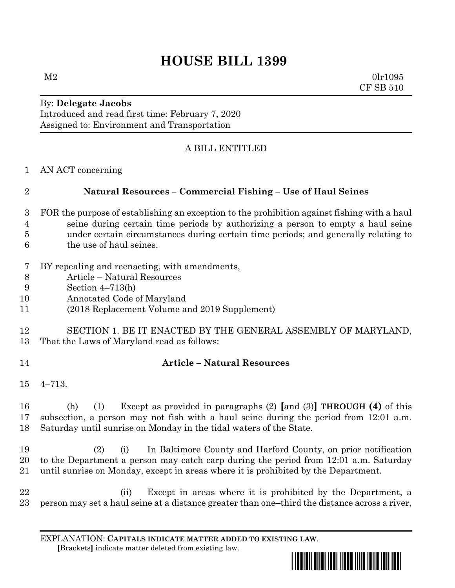# **HOUSE BILL 1399**

 $M2$  0lr1095 CF SB 510

#### By: **Delegate Jacobs** Introduced and read first time: February 7, 2020 Assigned to: Environment and Transportation

# A BILL ENTITLED

AN ACT concerning

## **Natural Resources – Commercial Fishing – Use of Haul Seines**

- FOR the purpose of establishing an exception to the prohibition against fishing with a haul seine during certain time periods by authorizing a person to empty a haul seine under certain circumstances during certain time periods; and generally relating to the use of haul seines.
- BY repealing and reenacting, with amendments,
- Article Natural Resources
- Section 4–713(h)
- Annotated Code of Maryland
- (2018 Replacement Volume and 2019 Supplement)

#### SECTION 1. BE IT ENACTED BY THE GENERAL ASSEMBLY OF MARYLAND, That the Laws of Maryland read as follows:

### **Article – Natural Resources**

4–713.

 (h) (1) Except as provided in paragraphs (2) **[**and (3)**] THROUGH (4)** of this subsection, a person may not fish with a haul seine during the period from 12:01 a.m. Saturday until sunrise on Monday in the tidal waters of the State.

 (2) (i) In Baltimore County and Harford County, on prior notification to the Department a person may catch carp during the period from 12:01 a.m. Saturday until sunrise on Monday, except in areas where it is prohibited by the Department.

 (ii) Except in areas where it is prohibited by the Department, a person may set a haul seine at a distance greater than one–third the distance across a river,